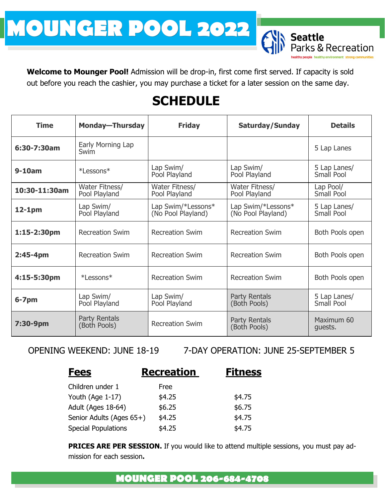# **MOUNGER POOL 2022**

**Welcome to Mounger Pool!** Admission will be drop-in, first come first served. If capacity is sold out before you reach the cashier, you may purchase a ticket for a later session on the same day.

# **SCHEDULE**

| <b>Time</b>    | <b>Monday-Thursday</b>               | <b>Friday</b>                            | <b>Saturday/Sunday</b>                   | <b>Details</b>             |
|----------------|--------------------------------------|------------------------------------------|------------------------------------------|----------------------------|
| 6:30-7:30am    | Early Morning Lap<br>Swim            |                                          |                                          | 5 Lap Lanes                |
| $9-10am$       | *Lessons*                            | Lap Swim/<br>Pool Playland               | Lap Swim/<br>Pool Playland               | 5 Lap Lanes/<br>Small Pool |
| 10:30-11:30am  | Water Fitness/<br>Pool Playland      | Water Fitness/<br>Pool Playland          | Water Fitness/<br>Pool Playland          | Lap Pool/<br>Small Pool    |
| $12-1pm$       | Lap Swim/<br>Pool Playland           | Lap Swim/*Lessons*<br>(No Pool Playland) | Lap Swim/*Lessons*<br>(No Pool Playland) | 5 Lap Lanes/<br>Small Pool |
| $1:15-2:30$ pm | <b>Recreation Swim</b>               | <b>Recreation Swim</b>                   | <b>Recreation Swim</b>                   | Both Pools open            |
| $2:45-4pm$     | <b>Recreation Swim</b>               | <b>Recreation Swim</b>                   | <b>Recreation Swim</b>                   | Both Pools open            |
| 4:15-5:30pm    | *Lessons*                            | <b>Recreation Swim</b>                   | <b>Recreation Swim</b>                   | Both Pools open            |
| $6 - 7$ pm     | Lap Swim/<br>Pool Playland           | Lap Swim/<br>Pool Playland               | Party Rentals<br>(Both Pools)            | 5 Lap Lanes/<br>Small Pool |
| 7:30-9pm       | <b>Party Rentals</b><br>(Both Pools) | <b>Recreation Swim</b>                   | Party Rentals<br>(Both Pools)            | Maximum 60<br>quests.      |

OPENING WEEKEND: JUNE 18-19 7-DAY OPERATION: JUNE 25-SEPTEMBER 5

ttle<br>cs & Recreation<br><sup>Dle healthy environment</sup> strong communities

| <b>Fees</b>                | <b>Recreation</b> | <b>Fitness</b> |
|----------------------------|-------------------|----------------|
| Children under 1           | Free              |                |
| Youth (Age 1-17)           | \$4.25            | \$4.75         |
| Adult (Ages 18-64)         | \$6.25            | \$6.75         |
| Senior Adults (Ages 65+)   | \$4.25            | \$4.75         |
| <b>Special Populations</b> | \$4.25            | \$4.75         |

**PRICES ARE PER SESSION.** If you would like to attend multiple sessions, you must pay admission for each session**.**

#### **MOUNGER POOL 206-684-4708**